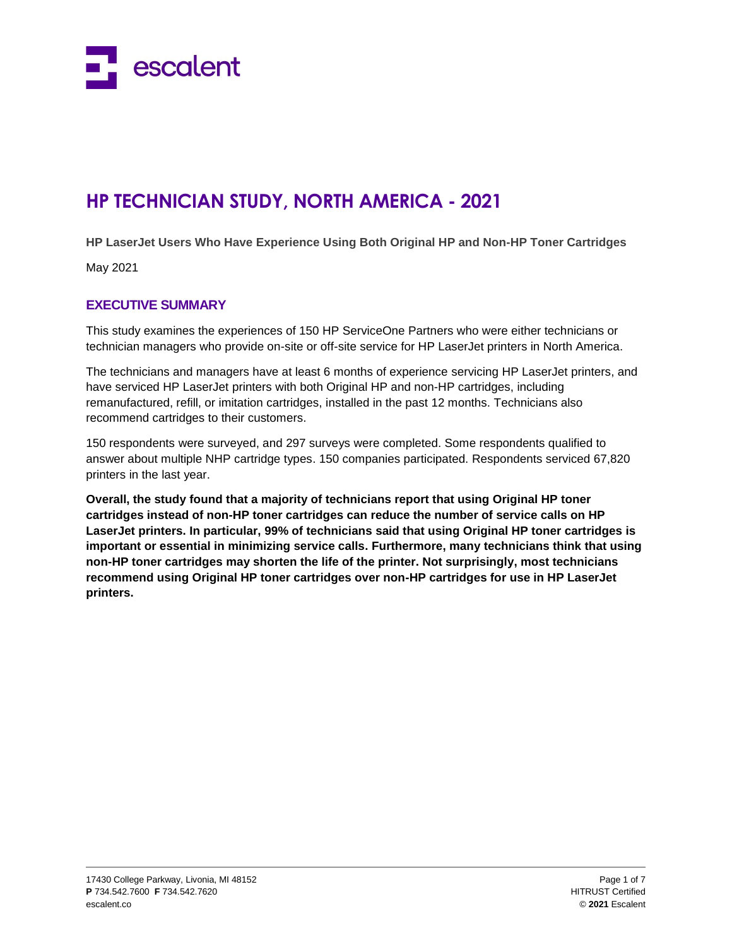

# **HP TECHNICIAN STUDY, NORTH AMERICA - 2021**

**HP LaserJet Users Who Have Experience Using Both Original HP and Non-HP Toner Cartridges** 

May 2021

# **EXECUTIVE SUMMARY**

This study examines the experiences of 150 HP ServiceOne Partners who were either technicians or technician managers who provide on-site or off-site service for HP LaserJet printers in North America.

The technicians and managers have at least 6 months of experience servicing HP LaserJet printers, and have serviced HP LaserJet printers with both Original HP and non-HP cartridges, including remanufactured, refill, or imitation cartridges, installed in the past 12 months. Technicians also recommend cartridges to their customers.

150 respondents were surveyed, and 297 surveys were completed. Some respondents qualified to answer about multiple NHP cartridge types. 150 companies participated. Respondents serviced 67,820 printers in the last year.

**Overall, the study found that a majority of technicians report that using Original HP toner cartridges instead of non-HP toner cartridges can reduce the number of service calls on HP LaserJet printers. In particular, 99% of technicians said that using Original HP toner cartridges is important or essential in minimizing service calls. Furthermore, many technicians think that using non-HP toner cartridges may shorten the life of the printer. Not surprisingly, most technicians recommend using Original HP toner cartridges over non-HP cartridges for use in HP LaserJet printers.**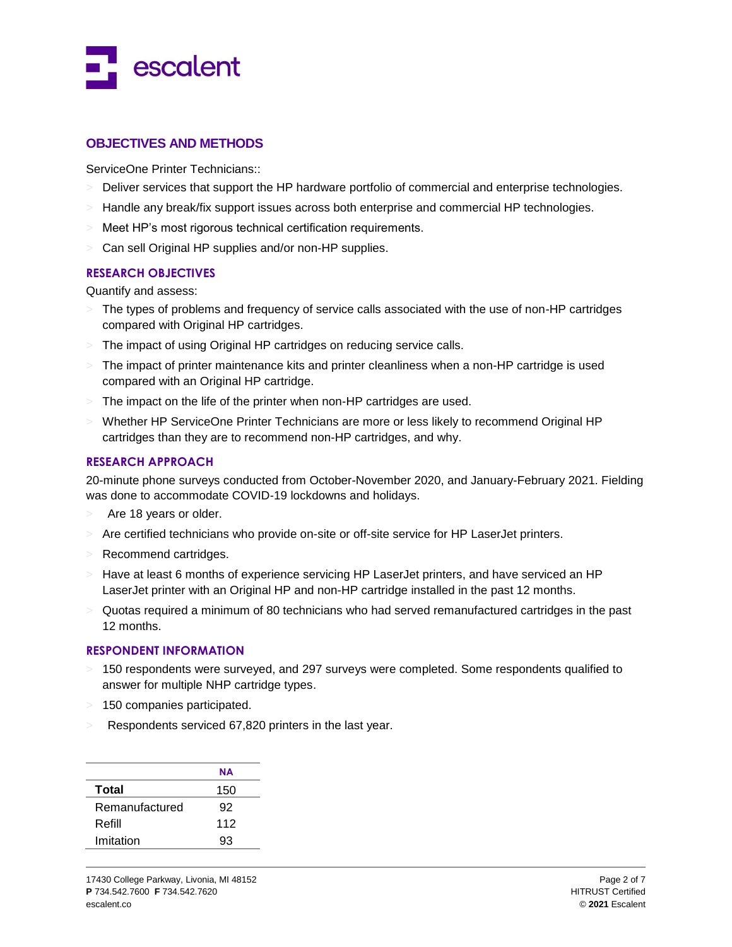

# **OBJECTIVES AND METHODS**

ServiceOne Printer Technicians::

- Deliver services that support the HP hardware portfolio of commercial and enterprise technologies.
- $>$  Handle any break/fix support issues across both enterprise and commercial HP technologies.
- Meet HP's most rigorous technical certification requirements.
- > Can sell Original HP supplies and/or non-HP supplies.

## **RESEARCH OBJECTIVES**

Quantify and assess:

- The types of problems and frequency of service calls associated with the use of non-HP cartridges compared with Original HP cartridges.
- > The impact of using Original HP cartridges on reducing service calls.
- $>$  The impact of printer maintenance kits and printer cleanliness when a non-HP cartridge is used compared with an Original HP cartridge.
- > The impact on the life of the printer when non-HP cartridges are used.
- > Whether HP ServiceOne Printer Technicians are more or less likely to recommend Original HP cartridges than they are to recommend non-HP cartridges, and why.

### **RESEARCH APPROACH**

20-minute phone surveys conducted from October-November 2020, and January-February 2021. Fielding was done to accommodate COVID-19 lockdowns and holidays.

- Are 18 years or older.
- > Are certified technicians who provide on-site or off-site service for HP LaserJet printers.
- > Recommend cartridges.
- $>$  Have at least 6 months of experience servicing HP LaserJet printers, and have serviced an HP LaserJet printer with an Original HP and non-HP cartridge installed in the past 12 months.
- $>$  Quotas required a minimum of 80 technicians who had served remanufactured cartridges in the past 12 months.

#### **RESPONDENT INFORMATION**

- 150 respondents were surveyed, and 297 surveys were completed. Some respondents qualified to answer for multiple NHP cartridge types.
- > 150 companies participated.
- Respondents serviced 67,820 printers in the last year.

|                | NΑ  |
|----------------|-----|
| Total          | 150 |
| Remanufactured | 92  |
| Refill         | 112 |
| Imitation      | 93  |
|                |     |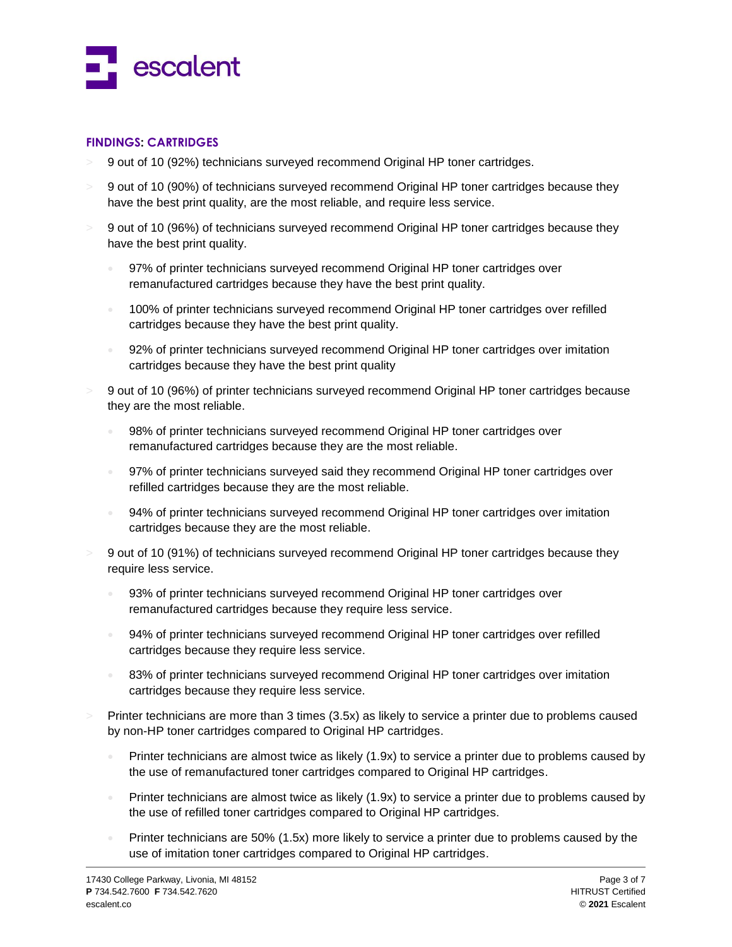

#### **FINDINGS: CARTRIDGES**

- > 9 out of 10 (92%) technicians surveyed recommend Original HP toner cartridges.
- > 9 out of 10 (90%) of technicians surveyed recommend Original HP toner cartridges because they have the best print quality, are the most reliable, and require less service.
- > 9 out of 10 (96%) of technicians surveyed recommend Original HP toner cartridges because they have the best print quality.
	- 97% of printer technicians surveyed recommend Original HP toner cartridges over remanufactured cartridges because they have the best print quality.
	- <sup>1</sup> 100% of printer technicians surveyed recommend Original HP toner cartridges over refilled cartridges because they have the best print quality.
	- 92% of printer technicians surveyed recommend Original HP toner cartridges over imitation cartridges because they have the best print quality
- > 9 out of 10 (96%) of printer technicians surveyed recommend Original HP toner cartridges because they are the most reliable.
	- 98% of printer technicians surveyed recommend Original HP toner cartridges over remanufactured cartridges because they are the most reliable.
	- 97% of printer technicians surveyed said they recommend Original HP toner cartridges over refilled cartridges because they are the most reliable.
	- 94% of printer technicians surveyed recommend Original HP toner cartridges over imitation cartridges because they are the most reliable.
- > 9 out of 10 (91%) of technicians surveyed recommend Original HP toner cartridges because they require less service.
	- 93% of printer technicians surveyed recommend Original HP toner cartridges over remanufactured cartridges because they require less service.
	- 94% of printer technicians surveyed recommend Original HP toner cartridges over refilled cartridges because they require less service.
	- 83% of printer technicians surveyed recommend Original HP toner cartridges over imitation cartridges because they require less service.
- > Printer technicians are more than 3 times (3.5x) as likely to service a printer due to problems caused by non-HP toner cartridges compared to Original HP cartridges.
	- Printer technicians are almost twice as likely (1.9x) to service a printer due to problems caused by the use of remanufactured toner cartridges compared to Original HP cartridges.
	- Printer technicians are almost twice as likely (1.9x) to service a printer due to problems caused by the use of refilled toner cartridges compared to Original HP cartridges.
	- Printer technicians are 50% (1.5x) more likely to service a printer due to problems caused by the use of imitation toner cartridges compared to Original HP cartridges.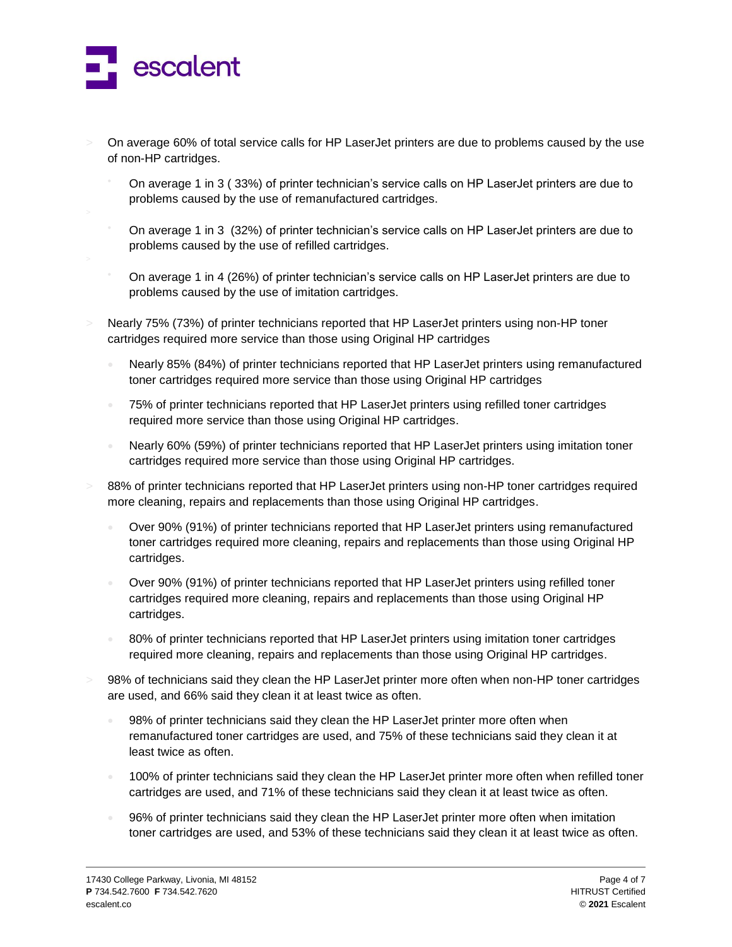

- > On average 60% of total service calls for HP LaserJet printers are due to problems caused by the use of non-HP cartridges.
	- On average 1 in 3 ( 33%) of printer technician's service calls on HP LaserJet printers are due to problems caused by the use of remanufactured cartridges.
	- On average 1 in 3 (32%) of printer technician's service calls on HP LaserJet printers are due to problems caused by the use of refilled cartridges.
	- On average 1 in 4 (26%) of printer technician's service calls on HP LaserJet printers are due to problems caused by the use of imitation cartridges.
- Nearly 75% (73%) of printer technicians reported that HP LaserJet printers using non-HP toner cartridges required more service than those using Original HP cartridges
	- Nearly 85% (84%) of printer technicians reported that HP LaserJet printers using remanufactured toner cartridges required more service than those using Original HP cartridges
	- 75% of printer technicians reported that HP LaserJet printers using refilled toner cartridges required more service than those using Original HP cartridges.
	- Nearly 60% (59%) of printer technicians reported that HP LaserJet printers using imitation toner cartridges required more service than those using Original HP cartridges.
- 88% of printer technicians reported that HP LaserJet printers using non-HP toner cartridges required more cleaning, repairs and replacements than those using Original HP cartridges.
	- Over 90% (91%) of printer technicians reported that HP LaserJet printers using remanufactured toner cartridges required more cleaning, repairs and replacements than those using Original HP cartridges.
	- Over 90% (91%) of printer technicians reported that HP LaserJet printers using refilled toner cartridges required more cleaning, repairs and replacements than those using Original HP cartridges.
	- 80% of printer technicians reported that HP LaserJet printers using imitation toner cartridges required more cleaning, repairs and replacements than those using Original HP cartridges.
- 98% of technicians said they clean the HP LaserJet printer more often when non-HP toner cartridges are used, and 66% said they clean it at least twice as often.
	- 98% of printer technicians said they clean the HP LaserJet printer more often when remanufactured toner cartridges are used, and 75% of these technicians said they clean it at least twice as often.
	- 100% of printer technicians said they clean the HP LaserJet printer more often when refilled toner cartridges are used, and 71% of these technicians said they clean it at least twice as often.
	- 96% of printer technicians said they clean the HP LaserJet printer more often when imitation toner cartridges are used, and 53% of these technicians said they clean it at least twice as often.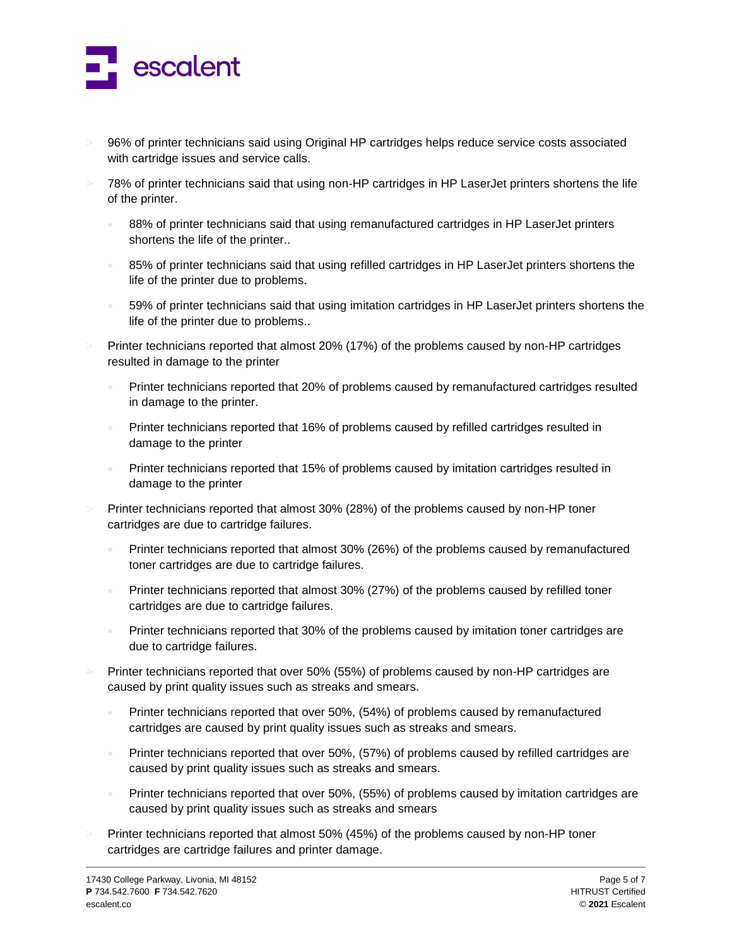

- > 96% of printer technicians said using Original HP cartridges helps reduce service costs associated with cartridge issues and service calls.
- > 78% of printer technicians said that using non-HP cartridges in HP LaserJet printers shortens the life of the printer.
	- 88% of printer technicians said that using remanufactured cartridges in HP LaserJet printers shortens the life of the printer..
	- 85% of printer technicians said that using refilled cartridges in HP LaserJet printers shortens the life of the printer due to problems.
	- 59% of printer technicians said that using imitation cartridges in HP LaserJet printers shortens the life of the printer due to problems..
- Printer technicians reported that almost 20% (17%) of the problems caused by non-HP cartridges resulted in damage to the printer
	- Printer technicians reported that 20% of problems caused by remanufactured cartridges resulted in damage to the printer.
	- Printer technicians reported that 16% of problems caused by refilled cartridges resulted in damage to the printer
	- **Printer technicians reported that 15% of problems caused by imitation cartridges resulted in** damage to the printer
- Printer technicians reported that almost 30% (28%) of the problems caused by non-HP toner cartridges are due to cartridge failures.
	- Printer technicians reported that almost 30% (26%) of the problems caused by remanufactured toner cartridges are due to cartridge failures.
	- Printer technicians reported that almost 30% (27%) of the problems caused by refilled toner cartridges are due to cartridge failures.
	- Printer technicians reported that 30% of the problems caused by imitation toner cartridges are due to cartridge failures.
- Printer technicians reported that over 50% (55%) of problems caused by non-HP cartridges are caused by print quality issues such as streaks and smears.
	- Printer technicians reported that over 50%, (54%) of problems caused by remanufactured cartridges are caused by print quality issues such as streaks and smears.
	- Printer technicians reported that over 50%, (57%) of problems caused by refilled cartridges are caused by print quality issues such as streaks and smears.
	- Printer technicians reported that over 50%, (55%) of problems caused by imitation cartridges are caused by print quality issues such as streaks and smears
- Printer technicians reported that almost 50% (45%) of the problems caused by non-HP toner cartridges are cartridge failures and printer damage.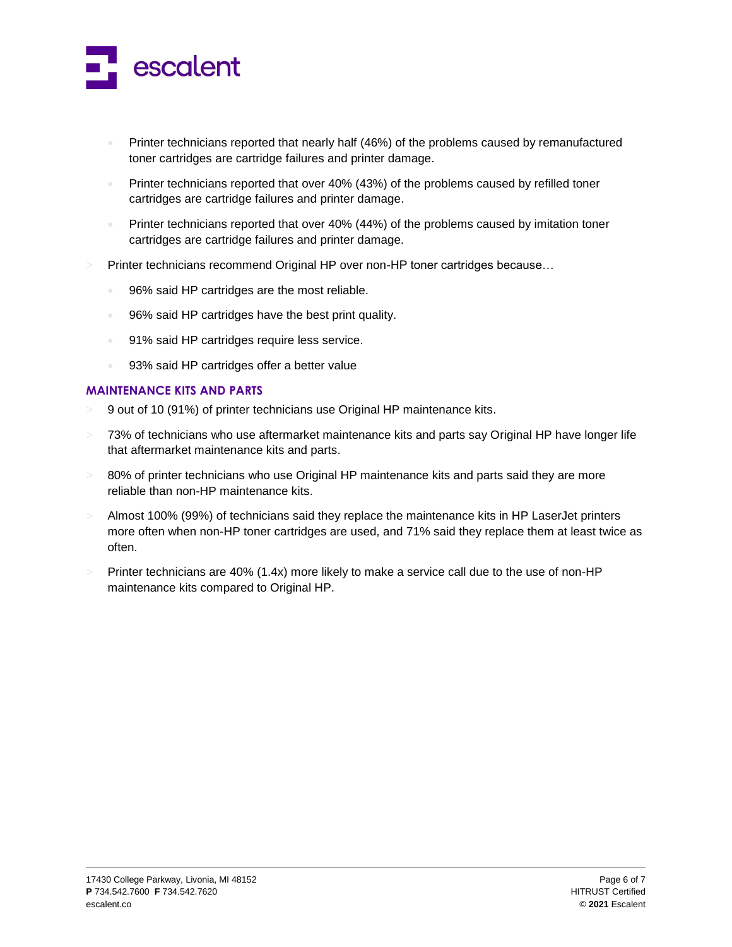

- Printer technicians reported that nearly half (46%) of the problems caused by remanufactured toner cartridges are cartridge failures and printer damage.
- Printer technicians reported that over 40% (43%) of the problems caused by refilled toner cartridges are cartridge failures and printer damage.
- **Printer technicians reported that over 40% (44%) of the problems caused by imitation toner** cartridges are cartridge failures and printer damage.
- > Printer technicians recommend Original HP over non-HP toner cartridges because…
	- 96% said HP cartridges are the most reliable.
	- 96% said HP cartridges have the best print quality.
	- 91% said HP cartridges require less service.
	- 93% said HP cartridges offer a better value

# **MAINTENANCE KITS AND PARTS**

- > 9 out of 10 (91%) of printer technicians use Original HP maintenance kits.
- $>$  73% of technicians who use aftermarket maintenance kits and parts say Original HP have longer life that aftermarket maintenance kits and parts.
- $>$  80% of printer technicians who use Original HP maintenance kits and parts said they are more reliable than non-HP maintenance kits.
- > Almost 100% (99%) of technicians said they replace the maintenance kits in HP LaserJet printers more often when non-HP toner cartridges are used, and 71% said they replace them at least twice as often.
- $>$  Printer technicians are 40% (1.4x) more likely to make a service call due to the use of non-HP maintenance kits compared to Original HP.